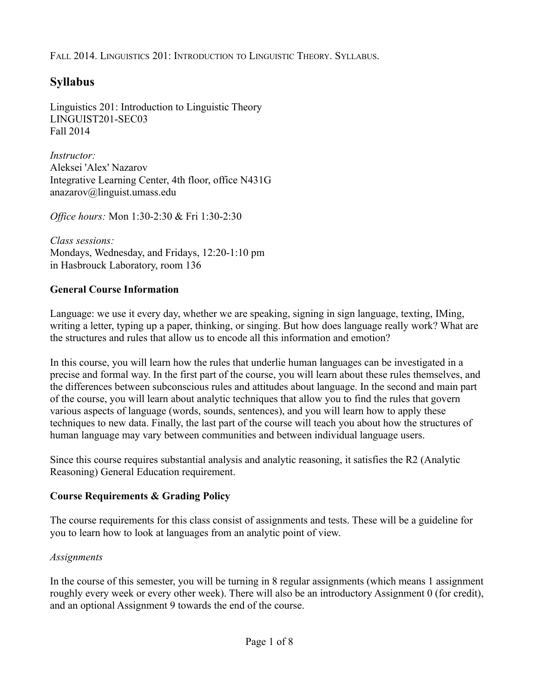# **Syllabus**

Linguistics 201: Introduction to Linguistic Theory LINGUIST201-SEC03 Fall 2014

*Instructor:* Aleksei 'Alex' Nazarov Integrative Learning Center, 4th floor, office N431G anazarov@linguist.umass.edu

*Office hours:* Mon 1:30-2:30 & Fri 1:30-2:30

*Class sessions:* Mondays, Wednesday, and Fridays, 12:20-1:10 pm in Hasbrouck Laboratory, room 136

# **General Course Information**

Language: we use it every day, whether we are speaking, signing in sign language, texting, IMing, writing a letter, typing up a paper, thinking, or singing. But how does language really work? What are the structures and rules that allow us to encode all this information and emotion?

In this course, you will learn how the rules that underlie human languages can be investigated in a precise and formal way. In the first part of the course, you will learn about these rules themselves, and the differences between subconscious rules and attitudes about language. In the second and main part of the course, you will learn about analytic techniques that allow you to find the rules that govern various aspects of language (words, sounds, sentences), and you will learn how to apply these techniques to new data. Finally, the last part of the course will teach you about how the structures of human language may vary between communities and between individual language users.

Since this course requires substantial analysis and analytic reasoning, it satisfies the R2 (Analytic Reasoning) General Education requirement.

# **Course Requirements & Grading Policy**

The course requirements for this class consist of assignments and tests. These will be a guideline for you to learn how to look at languages from an analytic point of view.

### *Assignments*

In the course of this semester, you will be turning in 8 regular assignments (which means 1 assignment roughly every week or every other week). There will also be an introductory Assignment 0 (for credit), and an optional Assignment 9 towards the end of the course.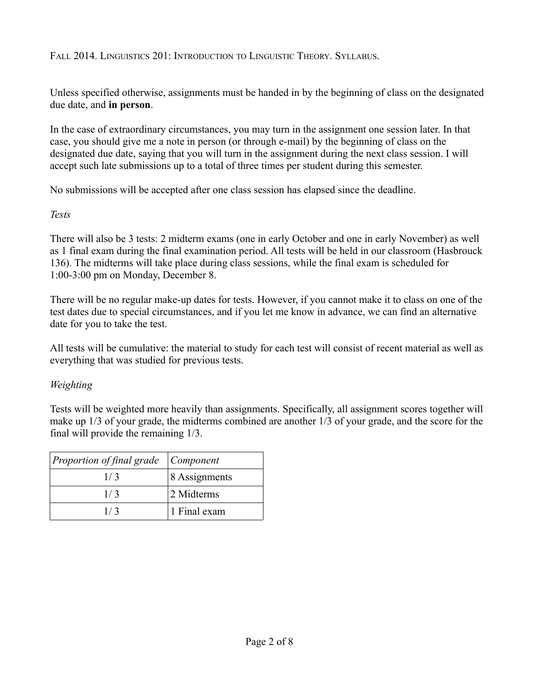Unless specified otherwise, assignments must be handed in by the beginning of class on the designated due date, and **in person**.

In the case of extraordinary circumstances, you may turn in the assignment one session later. In that case, you should give me a note in person (or through e-mail) by the beginning of class on the designated due date, saying that you will turn in the assignment during the next class session. I will accept such late submissions up to a total of three times per student during this semester.

No submissions will be accepted after one class session has elapsed since the deadline.

#### *Tests*

There will also be 3 tests: 2 midterm exams (one in early October and one in early November) as well as 1 final exam during the final examination period. All tests will be held in our classroom (Hasbrouck 136). The midterms will take place during class sessions, while the final exam is scheduled for 1:00-3:00 pm on Monday, December 8.

There will be no regular make-up dates for tests. However, if you cannot make it to class on one of the test dates due to special circumstances, and if you let me know in advance, we can find an alternative date for you to take the test.

All tests will be cumulative: the material to study for each test will consist of recent material as well as everything that was studied for previous tests.

### *Weighting*

Tests will be weighted more heavily than assignments. Specifically, all assignment scores together will make up 1/3 of your grade, the midterms combined are another 1/3 of your grade, and the score for the final will provide the remaining 1/3.

| Proportion of final grade $\vert$ Component |               |
|---------------------------------------------|---------------|
| 1/3                                         | 8 Assignments |
| 1/3                                         | 2 Midterms    |
| 1/3                                         | 1 Final exam  |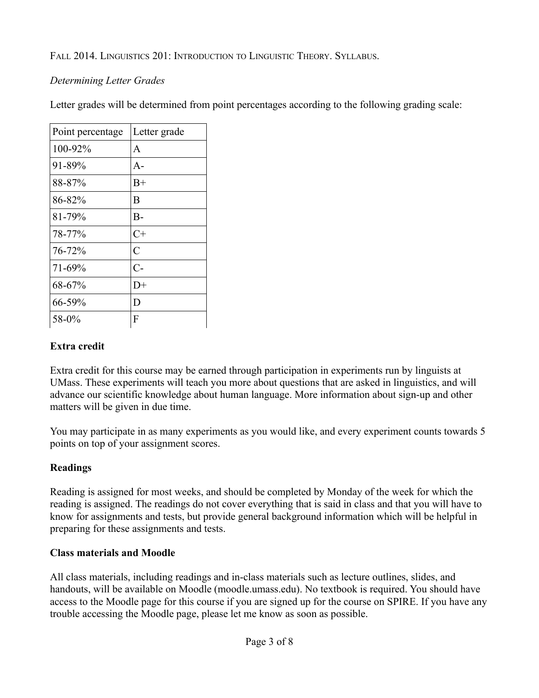### *Determining Letter Grades*

Letter grades will be determined from point percentages according to the following grading scale:

| Point percentage | Letter grade |
|------------------|--------------|
| 100-92%          | A            |
| 91-89%           | $A -$        |
| 88-87%           | $_{\rm B+}$  |
| 86-82%           | B            |
| 81-79%           | $B-$         |
| 78-77%           | $C+$         |
| 76-72%           | C            |
| 71-69%           | $C-$         |
| 68-67%           | $D+$         |
| 66-59%           | D            |
| 58-0%            | F            |

### **Extra credit**

Extra credit for this course may be earned through participation in experiments run by linguists at UMass. These experiments will teach you more about questions that are asked in linguistics, and will advance our scientific knowledge about human language. More information about sign-up and other matters will be given in due time.

You may participate in as many experiments as you would like, and every experiment counts towards 5 points on top of your assignment scores.

# **Readings**

Reading is assigned for most weeks, and should be completed by Monday of the week for which the reading is assigned. The readings do not cover everything that is said in class and that you will have to know for assignments and tests, but provide general background information which will be helpful in preparing for these assignments and tests.

### **Class materials and Moodle**

All class materials, including readings and in-class materials such as lecture outlines, slides, and handouts, will be available on Moodle (moodle.umass.edu). No textbook is required. You should have access to the Moodle page for this course if you are signed up for the course on SPIRE. If you have any trouble accessing the Moodle page, please let me know as soon as possible.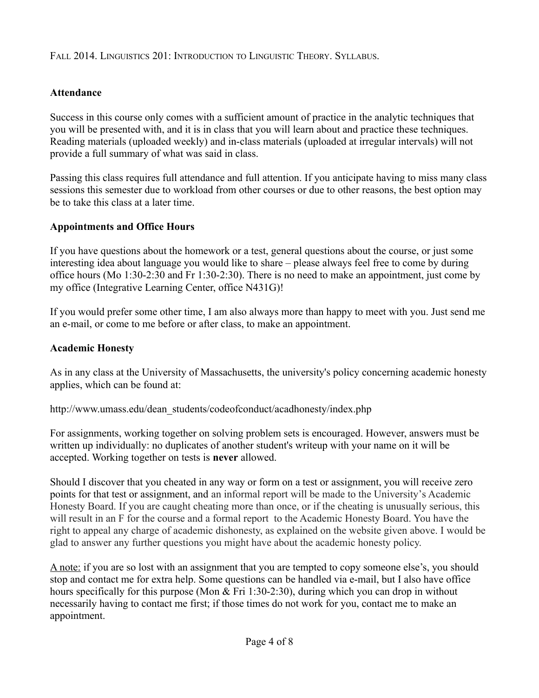### **Attendance**

Success in this course only comes with a sufficient amount of practice in the analytic techniques that you will be presented with, and it is in class that you will learn about and practice these techniques. Reading materials (uploaded weekly) and in-class materials (uploaded at irregular intervals) will not provide a full summary of what was said in class.

Passing this class requires full attendance and full attention. If you anticipate having to miss many class sessions this semester due to workload from other courses or due to other reasons, the best option may be to take this class at a later time.

### **Appointments and Office Hours**

If you have questions about the homework or a test, general questions about the course, or just some interesting idea about language you would like to share – please always feel free to come by during office hours (Mo 1:30-2:30 and Fr 1:30-2:30). There is no need to make an appointment, just come by my office (Integrative Learning Center, office N431G)!

If you would prefer some other time, I am also always more than happy to meet with you. Just send me an e-mail, or come to me before or after class, to make an appointment.

#### **Academic Honesty**

As in any class at the University of Massachusetts, the university's policy concerning academic honesty applies, which can be found at:

http://www.umass.edu/dean\_students/codeofconduct/acadhonesty/index.php

For assignments, working together on solving problem sets is encouraged. However, answers must be written up individually: no duplicates of another student's writeup with your name on it will be accepted. Working together on tests is **never** allowed.

Should I discover that you cheated in any way or form on a test or assignment, you will receive zero points for that test or assignment, and an informal report will be made to the University's Academic Honesty Board. If you are caught cheating more than once, or if the cheating is unusually serious, this will result in an F for the course and a formal report to the Academic Honesty Board. You have the right to appeal any charge of academic dishonesty, as explained on the website given above. I would be glad to answer any further questions you might have about the academic honesty policy.

A note: if you are so lost with an assignment that you are tempted to copy someone else's, you should stop and contact me for extra help. Some questions can be handled via e-mail, but I also have office hours specifically for this purpose (Mon & Fri 1:30-2:30), during which you can drop in without necessarily having to contact me first; if those times do not work for you, contact me to make an appointment.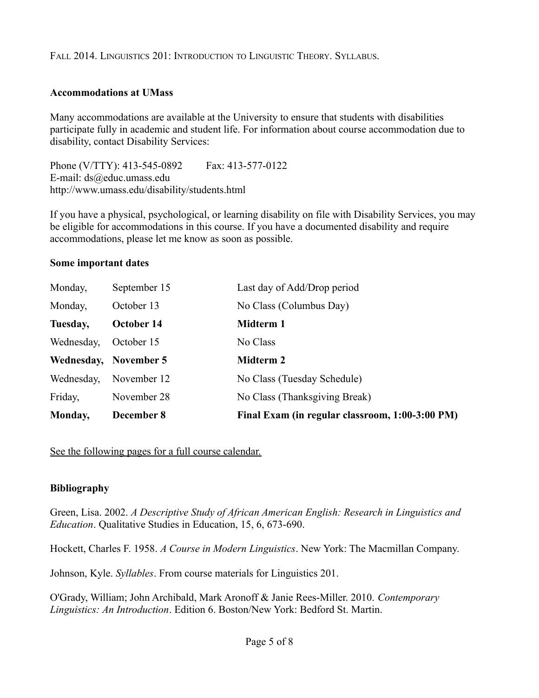#### **Accommodations at UMass**

Many accommodations are available at the University to ensure that students with disabilities participate fully in academic and student life. For information about course accommodation due to disability, contact Disability Services:

Phone (V/TTY): 413-545-0892 Fax: 413-577-0122 E-mail: ds@educ.umass.edu http://www.umass.edu/disability/students.html

If you have a physical, psychological, or learning disability on file with Disability Services, you may be eligible for accommodations in this course. If you have a documented disability and require accommodations, please let me know as soon as possible.

#### **Some important dates**

| Monday,               | December 8   | Final Exam (in regular classroom, 1:00-3:00 PM) |
|-----------------------|--------------|-------------------------------------------------|
| Friday,               | November 28  | No Class (Thanksgiving Break)                   |
| Wednesday,            | November 12  | No Class (Tuesday Schedule)                     |
| Wednesday, November 5 |              | <b>Midterm 2</b>                                |
| Wednesday,            | October 15   | No Class                                        |
| Tuesday,              | October 14   | Midterm 1                                       |
| Monday,               | October 13   | No Class (Columbus Day)                         |
| Monday,               | September 15 | Last day of Add/Drop period                     |

See the following pages for a full course calendar.

### **Bibliography**

Green, Lisa. 2002. *A Descriptive Study of African American English: Research in Linguistics and Education*. Qualitative Studies in Education, 15, 6, 673-690.

Hockett, Charles F. 1958. *A Course in Modern Linguistics*. New York: The Macmillan Company.

Johnson, Kyle. *Syllables*. From course materials for Linguistics 201.

O'Grady, William; John Archibald, Mark Aronoff & Janie Rees-Miller. 2010. *Contemporary Linguistics: An Introduction*. Edition 6. Boston/New York: Bedford St. Martin.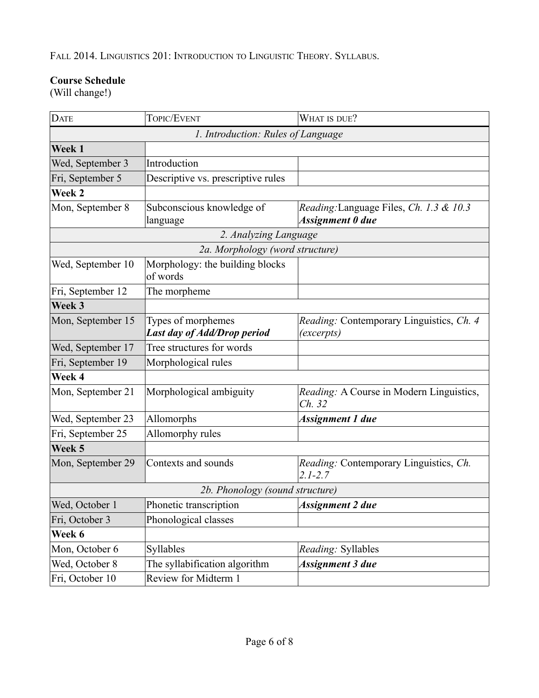### **Course Schedule**

(Will change!)

| <b>DATE</b>       | TOPIC/EVENT                                       | WHAT IS DUE?                                                |
|-------------------|---------------------------------------------------|-------------------------------------------------------------|
|                   | 1. Introduction: Rules of Language                |                                                             |
| Week 1            |                                                   |                                                             |
| Wed, September 3  | Introduction                                      |                                                             |
| Fri, September 5  | Descriptive vs. prescriptive rules                |                                                             |
| Week 2            |                                                   |                                                             |
| Mon, September 8  | Subconscious knowledge of<br>language             | Reading: Language Files, Ch. 1.3 & 10.3<br>Assignment 0 due |
|                   | 2. Analyzing Language                             |                                                             |
|                   | 2a. Morphology (word structure)                   |                                                             |
| Wed, September 10 | Morphology: the building blocks<br>of words       |                                                             |
| Fri, September 12 | The morpheme                                      |                                                             |
| Week 3            |                                                   |                                                             |
| Mon, September 15 | Types of morphemes<br>Last day of Add/Drop period | Reading: Contemporary Linguistics, Ch. 4<br>(excerpts)      |
| Wed, September 17 | Tree structures for words                         |                                                             |
| Fri, September 19 | Morphological rules                               |                                                             |
| Week 4            |                                                   |                                                             |
| Mon, September 21 | Morphological ambiguity                           | Reading: A Course in Modern Linguistics,<br>Ch. 32          |
| Wed, September 23 | Allomorphs                                        | Assignment 1 due                                            |
| Fri, September 25 | Allomorphy rules                                  |                                                             |
| Week 5            |                                                   |                                                             |
| Mon, September 29 | Contexts and sounds                               | Reading: Contemporary Linguistics, Ch.<br>$2.1 - 2.7$       |
|                   | 2b. Phonology (sound structure)                   |                                                             |
| Wed, October 1    | Phonetic transcription                            | Assignment 2 due                                            |
| Fri, October 3    | Phonological classes                              |                                                             |
| Week 6            |                                                   |                                                             |
| Mon, October 6    | Syllables                                         | Reading: Syllables                                          |
| Wed, October 8    | The syllabification algorithm                     | Assignment 3 due                                            |
| Fri, October 10   | Review for Midterm 1                              |                                                             |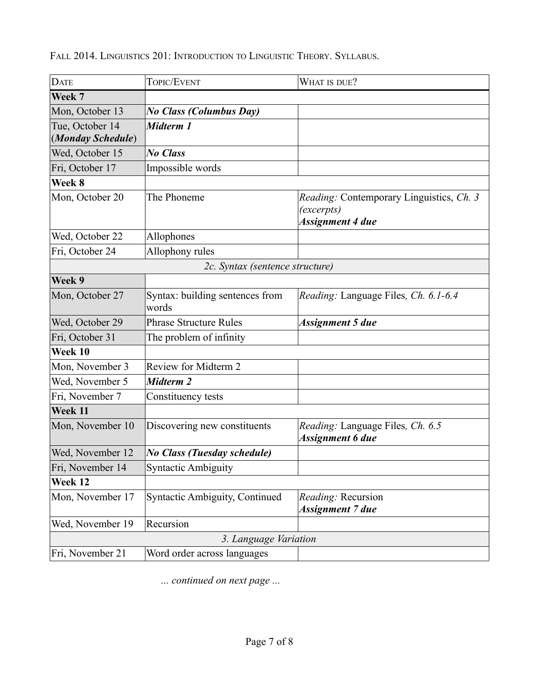| <b>DATE</b>                          | TOPIC/EVENT                              | WHAT IS DUE?                                                               |
|--------------------------------------|------------------------------------------|----------------------------------------------------------------------------|
| Week 7                               |                                          |                                                                            |
| Mon, October 13                      | <b>No Class (Columbus Day)</b>           |                                                                            |
| Tue, October 14<br>(Monday Schedule) | Midterm 1                                |                                                                            |
| Wed, October 15                      | <b>No Class</b>                          |                                                                            |
| Fri, October 17                      | Impossible words                         |                                                                            |
| Week 8                               |                                          |                                                                            |
| Mon, October 20                      | The Phoneme                              | Reading: Contemporary Linguistics, Ch. 3<br>(excerpts)<br>Assignment 4 due |
| Wed, October 22                      | Allophones                               |                                                                            |
| Fri, October 24                      | Allophony rules                          |                                                                            |
|                                      | 2c. Syntax (sentence structure)          |                                                                            |
| Week 9                               |                                          |                                                                            |
| Mon, October 27                      | Syntax: building sentences from<br>words | Reading: Language Files, Ch. 6.1-6.4                                       |
| Wed, October 29                      | <b>Phrase Structure Rules</b>            | Assignment 5 due                                                           |
| Fri, October 31                      | The problem of infinity                  |                                                                            |
| Week 10                              |                                          |                                                                            |
| Mon, November 3                      | Review for Midterm 2                     |                                                                            |
| Wed, November 5                      | Midterm 2                                |                                                                            |
| Fri, November 7                      | Constituency tests                       |                                                                            |
| Week 11                              |                                          |                                                                            |
| Mon, November 10                     | Discovering new constituents             | Reading: Language Files, Ch. 6.5<br><b>Assignment 6 due</b>                |
| Wed, November 12                     | <b>No Class (Tuesday schedule)</b>       |                                                                            |
| Fri, November 14                     | <b>Syntactic Ambiguity</b>               |                                                                            |
| Week 12                              |                                          |                                                                            |
| Mon, November 17                     | <b>Syntactic Ambiguity, Continued</b>    | Reading: Recursion<br>Assignment 7 due                                     |
| Wed, November 19                     | Recursion                                |                                                                            |
|                                      | 3. Language Variation                    |                                                                            |
| Fri, November 21                     | Word order across languages              |                                                                            |

*... continued on next page ...*